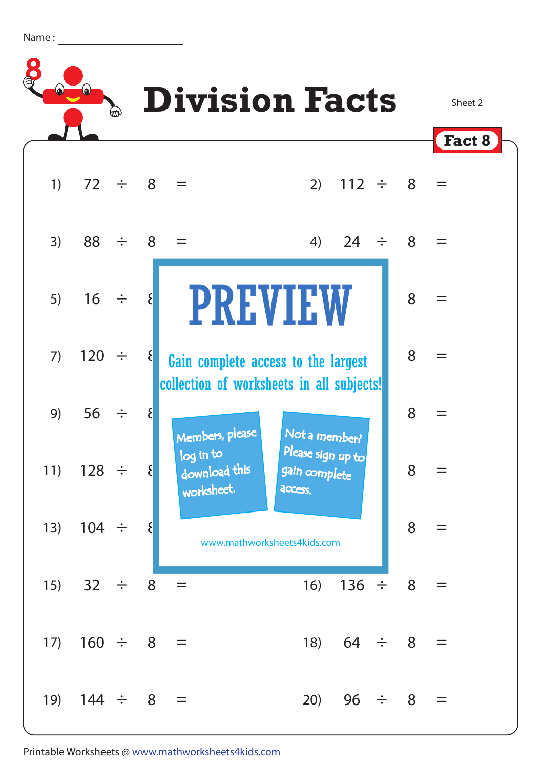